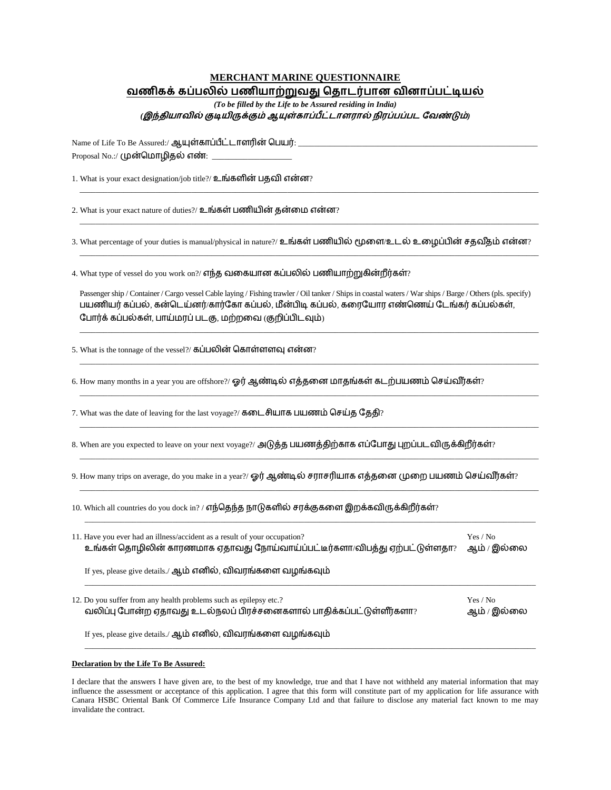## **MERCHANT MARINE QUESTIONNAIRE** வணிகக் கப்பலில் பணியாற்றுவது தொடர்பான வினாப்பட்டியல்

*(To be filled by the Life to be Assured residing in India)* (இந்தியாவில் குடியிருக்கும் ஆயுள்காப்பீட்டாளரால் நிரப்பப்பட வேண்டும்)

Name of Life To Be Assured:/ ஆயுள்காப்பீட்டாளரின் பெயர்: \_\_\_ Proposal No.:/ (முன்மொழிதல் எண்:

1. What is your exact designation/job title?/ உங்களின் பகுவி என்ன?

2. What is your exact nature of duties?/ உங்கள் பணியின் தன்மை என்ன?

3. What percentage of your duties is manual/physical in nature?/ உங்கள் பணியில் மூளை/உடல் உழைப்பின் சதவீதம் என்ன?

\_\_\_\_\_\_\_\_\_\_\_\_\_\_\_\_\_\_\_\_\_\_\_\_\_\_\_\_\_\_\_\_\_\_\_\_\_\_\_\_\_\_\_\_\_\_\_\_\_\_\_\_\_\_\_\_\_\_\_\_\_\_\_\_\_\_\_\_\_\_\_\_\_\_\_\_\_\_\_\_\_\_\_\_\_\_\_\_\_\_\_\_\_\_\_\_\_\_\_\_\_\_\_\_\_\_\_\_\_\_\_\_\_\_\_

\_\_\_\_\_\_\_\_\_\_\_\_\_\_\_\_\_\_\_\_\_\_\_\_\_\_\_\_\_\_\_\_\_\_\_\_\_\_\_\_\_\_\_\_\_\_\_\_\_\_\_\_\_\_\_\_\_\_\_\_\_\_\_\_\_\_\_\_\_\_\_\_\_\_\_\_\_\_\_\_\_\_\_\_\_\_\_\_\_\_\_\_\_\_\_\_\_\_\_\_\_\_\_\_\_\_\_\_\_\_\_\_\_\_\_

\_\_\_\_\_\_\_\_\_\_\_\_\_\_\_\_\_\_\_\_\_\_\_\_\_\_\_\_\_\_\_\_\_\_\_\_\_\_\_\_\_\_\_\_\_\_\_\_\_\_\_\_\_\_\_\_\_\_\_\_\_\_\_\_\_\_\_\_\_\_\_\_\_\_\_\_\_\_\_\_\_\_\_\_\_\_\_\_\_\_\_\_\_\_\_\_\_\_\_\_\_\_\_\_\_\_\_\_\_\_\_\_\_\_\_

4. What type of vessel do you work on?/ எந்த வகையான கப்பலில் பணியாற்றுகின்றீர்கள்?

Passenger ship / Container / Cargo vessel Cable laying / Fishing trawler / Oil tanker / Ships in coastal waters / War ships / Barge / Others (pls. specify) பயணியர் கப்பல், கன்டெய்னர்/கார்கோ கப்பல், மீன்பிடி கப்பல், கரையோர எண்ணெய் டேங்கர் கப்பல்கள், போர்க் கப்பல்கள், பாய்மரப் படகு, மற்றவை (குறிப்பிடவும்)

\_\_\_\_\_\_\_\_\_\_\_\_\_\_\_\_\_\_\_\_\_\_\_\_\_\_\_\_\_\_\_\_\_\_\_\_\_\_\_\_\_\_\_\_\_\_\_\_\_\_\_\_\_\_\_\_\_\_\_\_\_\_\_\_\_\_\_\_\_\_\_\_\_\_\_\_\_\_\_\_\_\_\_\_\_\_\_\_\_\_\_\_\_\_\_\_\_\_\_\_\_\_\_\_\_\_\_\_\_\_\_\_\_\_\_

\_\_\_\_\_\_\_\_\_\_\_\_\_\_\_\_\_\_\_\_\_\_\_\_\_\_\_\_\_\_\_\_\_\_\_\_\_\_\_\_\_\_\_\_\_\_\_\_\_\_\_\_\_\_\_\_\_\_\_\_\_\_\_\_\_\_\_\_\_\_\_\_\_\_\_\_\_\_\_\_\_\_\_\_\_\_\_\_\_\_\_\_\_\_\_\_\_\_\_\_\_\_\_\_\_\_\_\_\_\_\_\_\_\_\_

\_\_\_\_\_\_\_\_\_\_\_\_\_\_\_\_\_\_\_\_\_\_\_\_\_\_\_\_\_\_\_\_\_\_\_\_\_\_\_\_\_\_\_\_\_\_\_\_\_\_\_\_\_\_\_\_\_\_\_\_\_\_\_\_\_\_\_\_\_\_\_\_\_\_\_\_\_\_\_\_\_\_\_\_\_\_\_\_\_\_\_\_\_\_\_\_\_\_\_\_\_\_\_\_\_\_\_\_\_\_\_\_\_\_\_

\_\_\_\_\_\_\_\_\_\_\_\_\_\_\_\_\_\_\_\_\_\_\_\_\_\_\_\_\_\_\_\_\_\_\_\_\_\_\_\_\_\_\_\_\_\_\_\_\_\_\_\_\_\_\_\_\_\_\_\_\_\_\_\_\_\_\_\_\_\_\_\_\_\_\_\_\_\_\_\_\_\_\_\_\_\_\_\_\_\_\_\_\_\_\_\_\_\_\_\_\_\_\_\_\_\_\_\_\_\_\_\_\_\_\_

\_\_\_\_\_\_\_\_\_\_\_\_\_\_\_\_\_\_\_\_\_\_\_\_\_\_\_\_\_\_\_\_\_\_\_\_\_\_\_\_\_\_\_\_\_\_\_\_\_\_\_\_\_\_\_\_\_\_\_\_\_\_\_\_\_\_\_\_\_\_\_\_\_\_\_\_\_\_\_\_\_\_\_\_\_\_\_\_\_\_\_\_\_\_\_\_\_\_\_\_\_\_\_\_\_\_\_\_\_\_\_\_\_\_\_

\_\_\_\_\_\_\_\_\_\_\_\_\_\_\_\_\_\_\_\_\_\_\_\_\_\_\_\_\_\_\_\_\_\_\_\_\_\_\_\_\_\_\_\_\_\_\_\_\_\_\_\_\_\_\_\_\_\_\_\_\_\_\_\_\_\_\_\_\_\_\_\_\_\_\_\_\_\_\_\_\_\_\_\_\_\_\_\_\_\_\_\_\_\_\_\_\_\_\_\_\_\_\_\_\_\_\_\_\_\_\_\_\_\_\_

\_\_\_\_\_\_\_\_\_\_\_\_\_\_\_\_\_\_\_\_\_\_\_\_\_\_\_\_\_\_\_\_\_\_\_\_\_\_\_\_\_\_\_\_\_\_\_\_\_\_\_\_\_\_\_\_\_\_\_\_\_\_\_\_\_\_\_\_\_\_\_\_\_\_\_\_\_\_\_\_\_\_\_\_\_\_\_\_\_\_\_\_\_\_\_\_\_\_\_\_\_\_\_\_\_\_\_\_\_\_\_\_\_

5. What is the tonnage of the vessel?/ கப்பலின் கொள்ளளவு என்ன?

6. How many months in a year you are offshore?/ ஓர் ஆண்டில் எத்தனை மாதங்கள் கடற்பயணம் செய்வீர்கள்?

7. What was the date of leaving for the last voyage?/ கடைசியாக பயணம் செய்த தேதி?

8. When are you expected to leave on your next voyage?/ அடுத்த பயணத்திற்காக எப்போது புறப்படவிருக்கிறீர்கள்?

9. How many trips on average, do you make in a year?/ ஓர் ஆண்டில் சராசரியாக எத்தனை முறை பயணம் செய்வீர்கள்?

10. Which all countries do you dock in? / எந்தெந்த நாடுகளில் சரக்குகளை இறக்கவிருக்கிறீர்கள்?

| Yes / No<br>ஆம் / இல்லை |
|-------------------------|
|                         |
| Yes / No<br>ஆம் / இல்லை |
|                         |
|                         |

## **Declaration by the Life To Be Assured:**

I declare that the answers I have given are, to the best of my knowledge, true and that I have not withheld any material information that may influence the assessment or acceptance of this application. I agree that this form will constitute part of my application for life assurance with Canara HSBC Oriental Bank Of Commerce Life Insurance Company Ltd and that failure to disclose any material fact known to me may invalidate the contract.